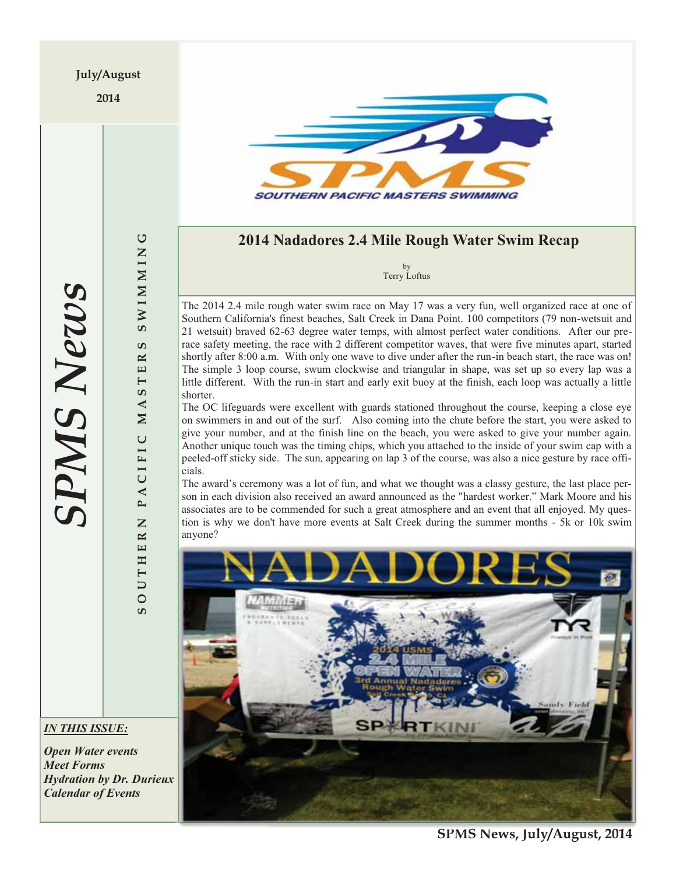2014



# **2014 Nadadores 2.4 Mile Rough Water Swim Recap**

by Terry Loftus

The 2014 2.4 mile rough water swim race on May 17 was a very fun, well organized race at one of Southern California's finest beaches, Salt Creek in Dana Point. 100 competitors (79 non-wetsuit and 21 wetsuit) braved 62-63 degree water temps, with almost perfect water conditions. After our prerace safety meeting, the race with 2 different competitor waves, that were five minutes apart, started shortly after 8:00 a.m. With only one wave to dive under after the run-in beach start, the race was on! The simple 3 loop course, swum clockwise and triangular in shape, was set up so every lap was a little different. With the run-in start and early exit buoy at the finish, each loop was actually a little shorter.

The OC lifeguards were excellent with guards stationed throughout the course, keeping a close eye on swimmers in and out of the surf. Also coming into the chute before the start, you were asked to give your number, and at the finish line on the beach, you were asked to give your number again. Another unique touch was the timing chips, which you attached to the inside of your swim cap with a peeled-off sticky side. The sun, appearing on lap 3 of the course, was also a nice gesture by race officials.

The award's ceremony was a lot of fun, and what we thought was a classy gesture, the last place person in each division also received an award announced as the "hardest worker." Mark Moore and his associates are to be commended for such a great atmosphere and an event that all enjoyed. My question is why we don't have more events at Salt Creek during the summer months - 5k or 10k swim anyone?



**SPMS News** *SPMS News*

**SOUTHERN PACIFIC MASTERS SWIMMING**

PACIFIC

Z

UTHER

 $\overline{\circ}$ S.

U

**SWIMMIN** 

ശ  $\approx$  $\mathbf{\Xi}$  $\vdash$ ဖာ  $\blacktriangleleft$  $\overline{\mathbf{M}}$ 

*IN THIS ISSUE:* 

*Open Water events Meet Forms Hydration by Dr. Durieux Calendar of Events* 

**S**  $\frac{1}{2}$  **S**  $\frac{1}{2}$  *S*  $\frac{1}{2}$  *S <i>n*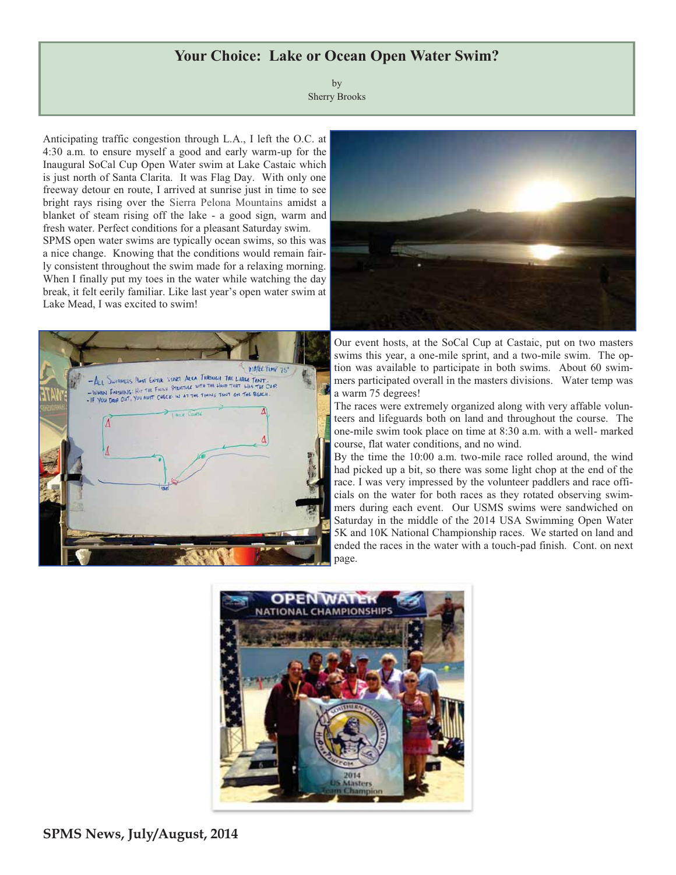## **Your Choice: Lake or Ocean Open Water Swim?**

by Sherry Brooks

Anticipating traffic congestion through L.A., I left the O.C. at 4:30 a.m. to ensure myself a good and early warm-up for the Inaugural SoCal Cup Open Water swim at Lake Castaic which is just north of Santa Clarita. It was Flag Day. With only one freeway detour en route, I arrived at sunrise just in time to see bright rays rising over the Sierra Pelona Mountains amidst a blanket of steam rising off the lake - a good sign, warm and fresh water. Perfect conditions for a pleasant Saturday swim. SPMS open water swims are typically ocean swims, so this was a nice change. Knowing that the conditions would remain fairly consistent throughout the swim made for a relaxing morning. When I finally put my toes in the water while watching the day break, it felt eerily familiar. Like last year's open water swim at Lake Mead, I was excited to swim!





Our event hosts, at the SoCal Cup at Castaic, put on two masters swims this year, a one-mile sprint, and a two-mile swim. The option was available to participate in both swims. About 60 swimmers participated overall in the masters divisions. Water temp was a warm 75 degrees!

The races were extremely organized along with very affable volunteers and lifeguards both on land and throughout the course. The one-mile swim took place on time at 8:30 a.m. with a well- marked course, flat water conditions, and no wind.

By the time the 10:00 a.m. two-mile race rolled around, the wind had picked up a bit, so there was some light chop at the end of the race. I was very impressed by the volunteer paddlers and race officials on the water for both races as they rotated observing swimmers during each event. Our USMS swims were sandwiched on Saturday in the middle of the 2014 USA Swimming Open Water 5K and 10K National Championship races. We started on land and ended the races in the water with a touch-pad finish. Cont. on next page.

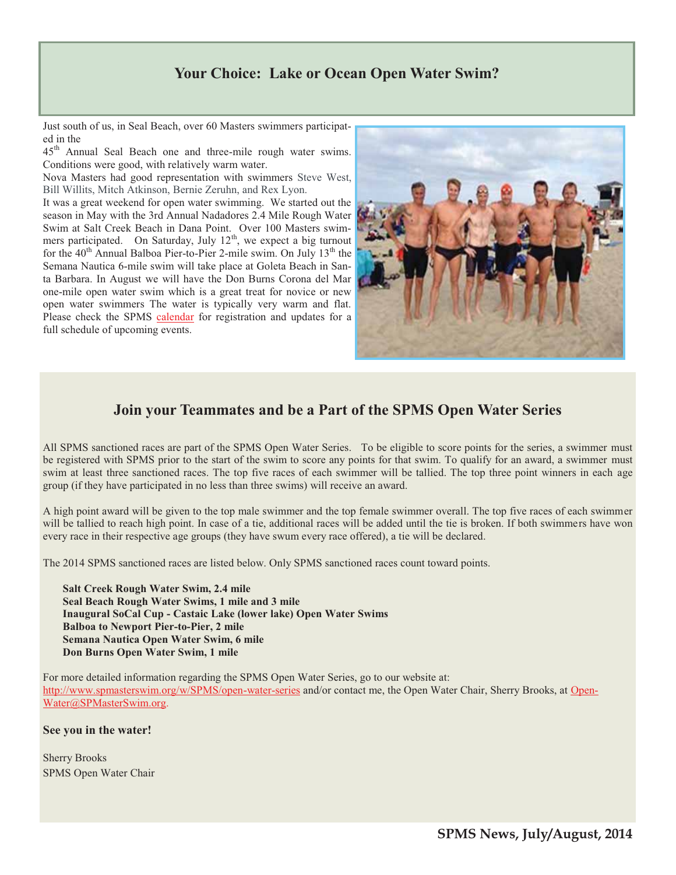# **Your Choice: Lake or Ocean Open Water Swim?**

Just south of us, in Seal Beach, over 60 Masters swimmers participated in the

45<sup>th</sup> Annual Seal Beach one and three-mile rough water swims. Conditions were good, with relatively warm water.

Nova Masters had good representation with swimmers Steve West, Bill Willits, Mitch Atkinson, Bernie Zeruhn, and Rex Lyon.

It was a great weekend for open water swimming. We started out the season in May with the 3rd Annual Nadadores 2.4 Mile Rough Water Swim at Salt Creek Beach in Dana Point. Over 100 Masters swimmers participated. On Saturday, July  $12<sup>th</sup>$ , we expect a big turnout for the  $40<sup>th</sup>$  Annual Balboa Pier-to-Pier 2-mile swim. On July 13<sup>th</sup> the Semana Nautica 6-mile swim will take place at Goleta Beach in Santa Barbara. In August we will have the Don Burns Corona del Mar one-mile open water swim which is a great treat for novice or new open water swimmers The water is typically very warm and flat. Please check the SPMS calendar for registration and updates for a full schedule of upcoming events.



# **Join your Teammates and be a Part of the SPMS Open Water Series**

All SPMS sanctioned races are part of the SPMS Open Water Series. To be eligible to score points for the series, a swimmer must be registered with SPMS prior to the start of the swim to score any points for that swim. To qualify for an award, a swimmer must swim at least three sanctioned races. The top five races of each swimmer will be tallied. The top three point winners in each age group (if they have participated in no less than three swims) will receive an award.

A high point award will be given to the top male swimmer and the top female swimmer overall. The top five races of each swimmer will be tallied to reach high point. In case of a tie, additional races will be added until the tie is broken. If both swimmers have won every race in their respective age groups (they have swum every race offered), a tie will be declared.

The 2014 SPMS sanctioned races are listed below. Only SPMS sanctioned races count toward points.

**Salt Creek Rough Water Swim, 2.4 mile Seal Beach Rough Water Swims, 1 mile and 3 mile Inaugural SoCal Cup - Castaic Lake (lower lake) Open Water Swims Balboa to Newport Pier-to-Pier, 2 mile Semana Nautica Open Water Swim, 6 mile Don Burns Open Water Swim, 1 mile** 

For more detailed information regarding the SPMS Open Water Series, go to our website at: http://www.spmasterswim.org/w/SPMS/open-water-series and/or contact me, the Open Water Chair, Sherry Brooks, at Open-Water@SPMasterSwim.org.

**See you in the water!** 

Sherry Brooks SPMS Open Water Chair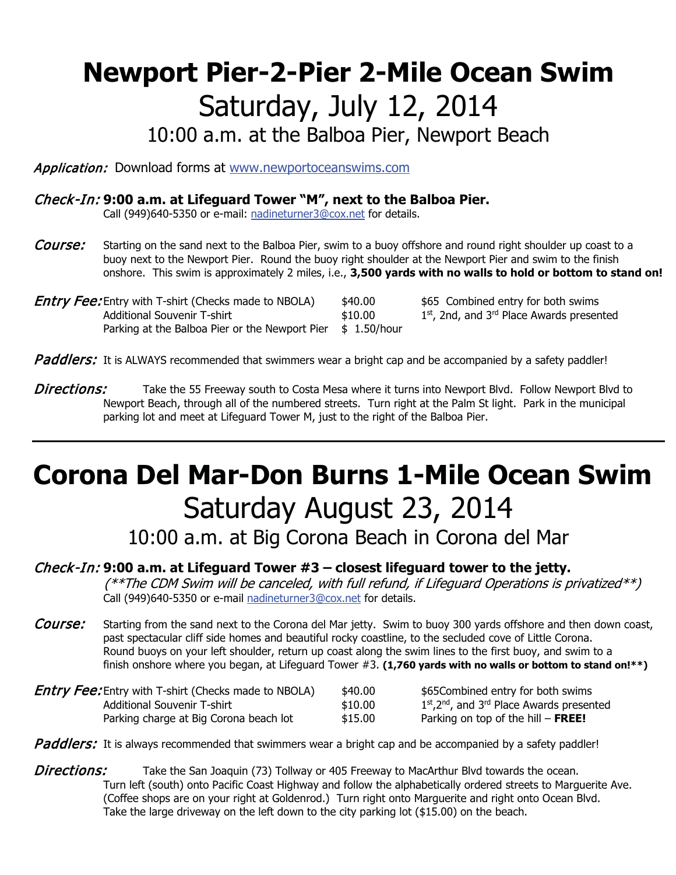# **Newport Pier-2-Pier 2-Mile Ocean Swim** Saturday, July 12, 2014

10:00 a.m. at the Balboa Pier, Newport Beach

Application: Download forms at www.newportoceanswims.com

# Check-In: **9:00 a.m. at Lifeguard Tower "M", next to the Balboa Pier.**

Call (949)640-5350 or e-mail: nadineturner3@cox.net for details.

- Course: Starting on the sand next to the Balboa Pier, swim to a buoy offshore and round right shoulder up coast to a buoy next to the Newport Pier. Round the buoy right shoulder at the Newport Pier and swim to the finish onshore. This swim is approximately 2 miles, i.e., **3,500 yards with no walls to hold or bottom to stand on!**
- **Entry Fee:** Entry with T-shirt (Checks made to NBOLA) \$40.00 \$65 Combined entry for both swims Additional Souvenir T-shirt  $$10.00$   $1<sup>st</sup>$ , 2nd, and 3<sup>rd</sup> Place Awards presented Parking at the Balboa Pier or the Newport Pier  $$ 1.50/hour$

Paddlers: It is ALWAYS recommended that swimmers wear a bright cap and be accompanied by a safety paddler!

Directions: Take the 55 Freeway south to Costa Mesa where it turns into Newport Blvd. Follow Newport Blvd to Newport Beach, through all of the numbered streets. Turn right at the Palm St light. Park in the municipal parking lot and meet at Lifeguard Tower M, just to the right of the Balboa Pier.

# **Corona Del Mar-Don Burns 1-Mile Ocean Swim** Saturday August 23, 2014

10:00 a.m. at Big Corona Beach in Corona del Mar

## Check-In: **9:00 a.m. at Lifeguard Tower #3 – closest lifeguard tower to the jetty.**

 $(**$ The CDM Swim will be canceled, with full refund, if Lifeguard Operations is privatized\*\*) Call (949)640-5350 or e-mail nadineturner3@cox.net for details.

Course: Starting from the sand next to the Corona del Mar jetty. Swim to buoy 300 yards offshore and then down coast, past spectacular cliff side homes and beautiful rocky coastline, to the secluded cove of Little Corona. Round buoys on your left shoulder, return up coast along the swim lines to the first buoy, and swim to a finish onshore where you began, at Lifeguard Tower #3. **(1,760 yards with no walls or bottom to stand on!\*\*)**

| <b>Entry Fee:</b> Entry with T-shirt (Checks made to NBOLA) | \$40.00 | \$65Combined entry for both swims                                    |
|-------------------------------------------------------------|---------|----------------------------------------------------------------------|
| Additional Souvenir T-shirt                                 | \$10.00 | $1st$ , 2 <sup>nd</sup> , and 3 <sup>rd</sup> Place Awards presented |
| Parking charge at Big Corona beach lot                      | \$15.00 | Parking on top of the hill $-$ FREE!                                 |

Paddlers: It is always recommended that swimmers wear a bright cap and be accompanied by a safety paddler!

**Directions:** Take the San Joaquin (73) Tollway or 405 Freeway to MacArthur Blvd towards the ocean. Turn left (south) onto Pacific Coast Highway and follow the alphabetically ordered streets to Marguerite Ave. (Coffee shops are on your right at Goldenrod.) Turn right onto Marguerite and right onto Ocean Blvd. Take the large driveway on the left down to the city parking lot (\$15.00) on the beach.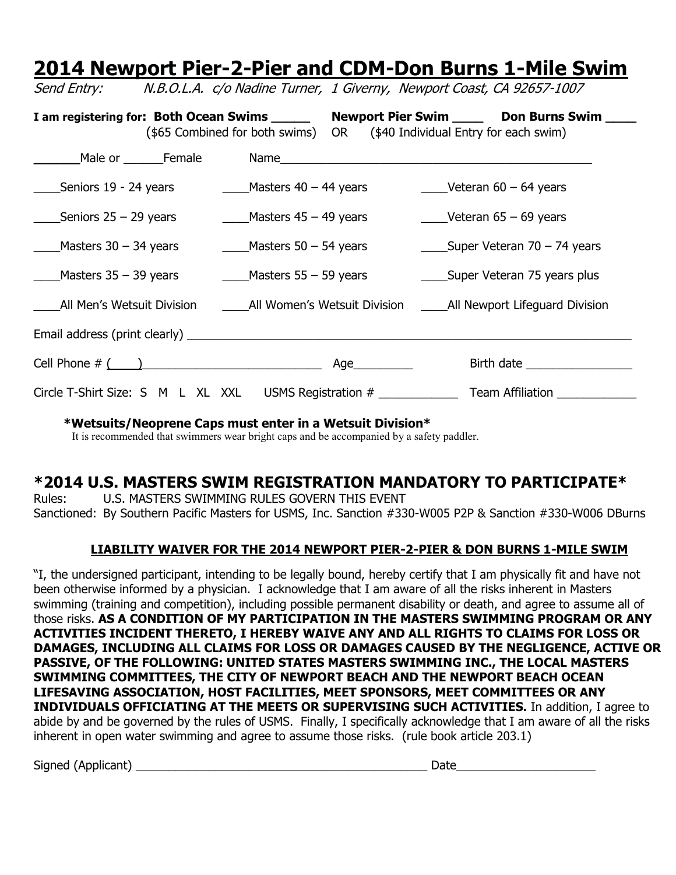# **2014 Newport Pier-2-Pier and CDM-Don Burns 1-Mile Swim**

I am registering for: Both Ocean Swims \_\_\_\_\_\_ Newport Pier Swim \_\_\_\_\_ Don Burns Swim \_\_\_\_ (\$65 Combined for both swims) OR (\$40 Individual Entry for each swim) **\_\_\_\_\_\_**Male or \_\_\_\_\_\_Female Name\_\_\_\_\_\_\_\_\_\_\_\_\_\_\_\_\_\_\_\_\_\_\_\_\_\_\_\_\_\_\_\_\_\_\_\_\_\_\_\_\_\_\_\_\_\_\_ \_\_\_\_Seniors 19 - 24 years \_\_\_\_Masters 40 – 44 years \_\_\_\_Veteran 60 – 64 years  $\_\_\_\$ Seniors 25 – 29 years  $\_\_\_\_\$ Masters 45 – 49 years  $\_\_\_\_\$ Veteran 65 – 69 years Masters 30 – 34 years  $\frac{1}{2}$  Masters 50 – 54 years  $\frac{1}{2}$  Super Veteran 70 – 74 years \_\_\_\_Masters 35 – 39 years \_\_\_\_Masters 55 – 59 years \_\_\_\_Super Veteran 75 years plus All Men's Wetsuit Division and All Women's Wetsuit Division **Langel All Newport Lifeguard Division** Email address (print clearly) \_\_\_\_\_\_\_\_\_\_\_\_\_\_\_\_\_\_\_\_\_\_\_\_\_\_\_\_\_\_\_\_\_\_\_\_\_\_\_\_\_\_\_\_\_\_\_\_\_\_\_\_\_\_\_\_\_\_\_\_\_\_\_\_\_\_\_ Cell Phone # ( )\_\_\_\_\_\_\_\_\_\_\_\_\_\_\_\_\_\_\_\_\_\_\_\_\_\_\_ Age\_\_\_\_\_\_\_\_\_ Birth date \_\_\_\_\_\_\_\_\_\_\_\_\_\_\_\_ Circle T-Shirt Size: S M L XL XXL USMS Registration # Team Affiliation

Send Entry: N.B.O.L.A. c/o Nadine Turner, 1 Giverny, Newport Coast, CA 92657-1007

**\*Wetsuits/Neoprene Caps must enter in a Wetsuit Division\***

It is recommended that swimmers wear bright caps and be accompanied by a safety paddler.

# **\*2014 U.S. MASTERS SWIM REGISTRATION MANDATORY TO PARTICIPATE\***

Rules: U.S. MASTERS SWIMMING RULES GOVERN THIS EVENT Sanctioned: By Southern Pacific Masters for USMS, Inc. Sanction #330-W005 P2P & Sanction #330-W006 DBurns

# **LIABILITY WAIVER FOR THE 2014 NEWPORT PIER-2-PIER & DON BURNS 1-MILE SWIM**

"I, the undersigned participant, intending to be legally bound, hereby certify that I am physically fit and have not been otherwise informed by a physician. I acknowledge that I am aware of all the risks inherent in Masters swimming (training and competition), including possible permanent disability or death, and agree to assume all of those risks. **AS A CONDITION OF MY PARTICIPATION IN THE MASTERS SWIMMING PROGRAM OR ANY ACTIVITIES INCIDENT THERETO, I HEREBY WAIVE ANY AND ALL RIGHTS TO CLAIMS FOR LOSS OR DAMAGES, INCLUDING ALL CLAIMS FOR LOSS OR DAMAGES CAUSED BY THE NEGLIGENCE, ACTIVE OR PASSIVE, OF THE FOLLOWING: UNITED STATES MASTERS SWIMMING INC., THE LOCAL MASTERS SWIMMING COMMITTEES, THE CITY OF NEWPORT BEACH AND THE NEWPORT BEACH OCEAN LIFESAVING ASSOCIATION, HOST FACILITIES, MEET SPONSORS, MEET COMMITTEES OR ANY INDIVIDUALS OFFICIATING AT THE MEETS OR SUPERVISING SUCH ACTIVITIES.** In addition, I agree to abide by and be governed by the rules of USMS. Finally, I specifically acknowledge that I am aware of all the risks inherent in open water swimming and agree to assume those risks. (rule book article 203.1)

Signed (Applicant) \_\_\_\_\_\_\_\_\_\_\_\_\_\_\_\_\_\_\_\_\_\_\_\_\_\_\_\_\_\_\_\_\_\_\_\_\_\_\_\_\_\_\_\_ Date\_\_\_\_\_\_\_\_\_\_\_\_\_\_\_\_\_\_\_\_\_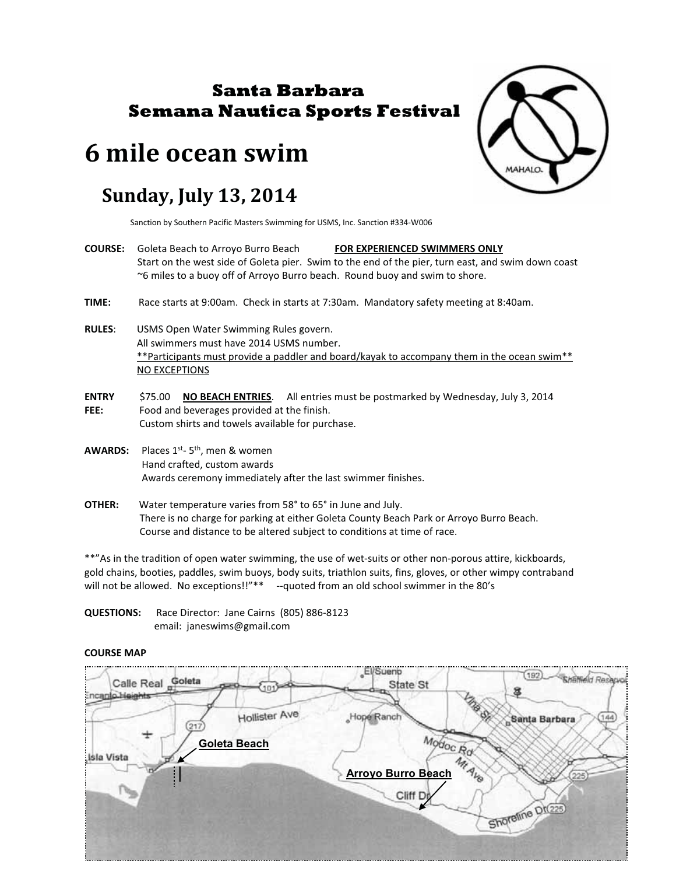# **Santa Barbara Semana Nautica Sports Festival**

# **6 mile ocean swim**

# **Sunday, July 13, 2014**

Sanction by Southern Pacific Masters Swimming for USMS, Inc. Sanction #334-W006

- **COURSE:** Goleta Beach to Arroyo Burro Beach **FOR EXPERIENCED SWIMMERS ONLY** Start on the west side of Goleta pier. Swim to the end of the pier, turn east, and swim down coast ~6 miles to a buoy off of Arroyo Burro beach. Round buoy and swim to shore.
- **TIME:** Race starts at 9:00am. Check in starts at 7:30am. Mandatory safety meeting at 8:40am.
- **RULES**: USMS Open Water Swimming Rules govern. All swimmers must have 2014 USMS number. \*\*Participants must provide a paddler and board/kayak to accompany them in the ocean swim\*\* NO EXCEPTIONS
- **ENTRY** \$75.00 **NO BEACH ENTRIES**. All entries must be postmarked by Wednesday, July 3, 2014 **FEE:** Food and beverages provided at the finish. Custom shirts and towels available for purchase.
- **AWARDS:** Places 1<sup>st</sup>- 5<sup>th</sup>, men & women Hand crafted, custom awards Awards ceremony immediately after the last swimmer finishes.
- **OTHER:** Water temperature varies from 58° to 65° in June and July. There is no charge for parking at either Goleta County Beach Park or Arroyo Burro Beach. Course and distance to be altered subject to conditions at time of race.

\*\*"As in the tradition of open water swimming, the use of wet-suits or other non-porous attire, kickboards, gold chains, booties, paddles, swim buoys, body suits, triathlon suits, fins, gloves, or other wimpy contraband will not be allowed. No exceptions!!"\*\* --quoted from an old school swimmer in the 80's

**QUESTIONS:** Race Director: Jane Cairns (805) 886-8123 email: janeswims@gmail.com

#### **COURSE MAP**



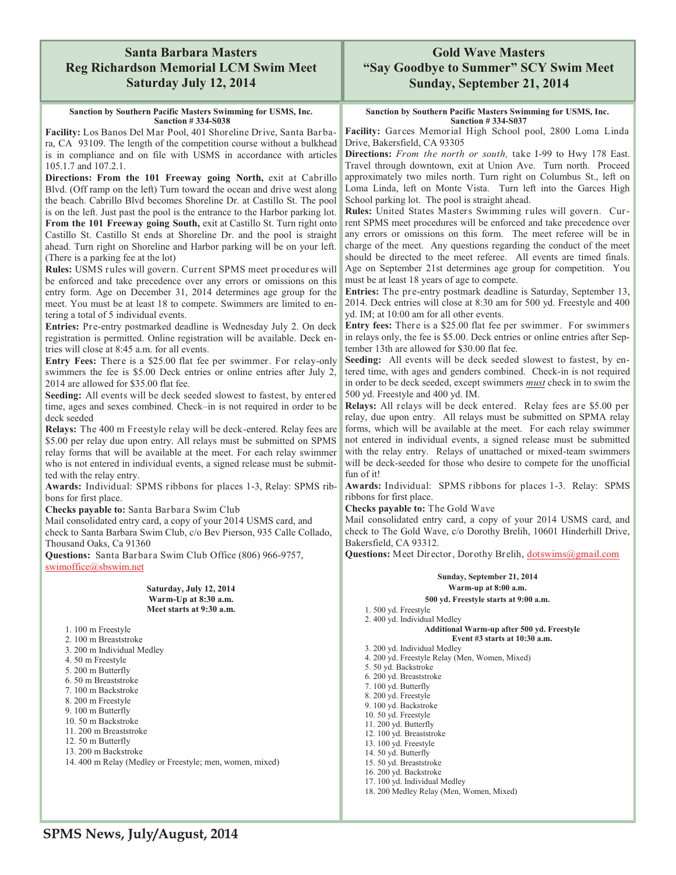### **Santa Barbara Masters Reg Richardson Memorial LCM Swim Meet Saturday July 12, 2014**

#### **Sanction by Southern Pacific Masters Swimming for USMS, Inc. Sanction # 334-S038**

**Facility:** Los Banos Del Mar Pool, 401 Shoreline Drive, Santa Barbara, CA 93109. The length of the competition course without a bulkhead is in compliance and on file with USMS in accordance with articles 105.1.7 and 107.2.1.

**Directions: From the 101 Freeway going North,** exit at Cabrillo Blvd. (Off ramp on the left) Turn toward the ocean and drive west along the beach. Cabrillo Blvd becomes Shoreline Dr. at Castillo St. The pool is on the left. Just past the pool is the entrance to the Harbor parking lot.

**From the 101 Freeway going South,** exit at Castillo St. Turn right onto Castillo St. Castillo St ends at Shoreline Dr. and the pool is straight ahead. Turn right on Shoreline and Harbor parking will be on your left. (There is a parking fee at the lot)

**Rules:** USMS rules will govern. Current SPMS meet procedures will be enforced and take precedence over any errors or omissions on this entry form. Age on December 31, 2014 determines age group for the meet. You must be at least 18 to compete. Swimmers are limited to entering a total of 5 individual events.

**Entries:** Pre-entry postmarked deadline is Wednesday July 2. On deck registration is permitted. Online registration will be available. Deck entries will close at 8:45 a.m. for all events.

**Entry Fees:** There is a \$25.00 flat fee per swimmer. For relay-only swimmers the fee is \$5.00 Deck entries or online entries after July 2, 2014 are allowed for \$35.00 flat fee.

**Seeding:** All events will be deck seeded slowest to fastest, by entered time, ages and sexes combined. Check–in is not required in order to be deck seeded

**Relays:** The 400 m Freestyle relay will be deck-entered. Relay fees are \$5.00 per relay due upon entry. All relays must be submitted on SPMS relay forms that will be available at the meet. For each relay swimmer who is not entered in individual events, a signed release must be submitted with the relay entry.

**Awards:** Individual: SPMS ribbons for places 1-3, Relay: SPMS ribbons for first place.

**Checks payable to:** Santa Barbara Swim Club

Mail consolidated entry card, a copy of your 2014 USMS card, and check to Santa Barbara Swim Club, c/o Bev Pierson, 935 Calle Collado, Thousand Oaks, Ca 91360

**Questions:** Santa Barbara Swim Club Office (806) 966-9757, swimoffice@sbswim.net

#### **Saturday, July 12, 2014 Warm-Up at 8:30 a.m. Meet starts at 9:30 a.m.**

1. 100 m Freestyle

- 2. 100 m Breaststroke
- 3. 200 m Individual Medley
- 4. 50 m Freestyle
- 5. 200 m Butterfly
- 6. 50 m Breaststroke
- 7. 100 m Backstroke
- 8. 200 m Freestyle
- 9. 100 m Butterfly 10. 50 m Backstroke
- 11. 200 m Breaststroke
- 12. 50 m Butterfly
- 13. 200 m Backstroke
- 14. 400 m Relay (Medley or Freestyle; men, women, mixed)

**Gold Wave Masters "Say Goodbye to Summer" SCY Swim Meet Sunday, September 21, 2014** 

**Sanction by Southern Pacific Masters Swimming for USMS, Inc. Sanction # 334-S037** 

**Facility:** Garces Memorial High School pool, 2800 Loma Linda Drive, Bakersfield, CA 93305

**Directions:** *From the north or south,* take I-99 to Hwy 178 East. Travel through downtown, exit at Union Ave. Turn north. Proceed approximately two miles north. Turn right on Columbus St., left on Loma Linda, left on Monte Vista. Turn left into the Garces High School parking lot. The pool is straight ahead.

**Rules:** United States Masters Swimming rules will govern. Current SPMS meet procedures will be enforced and take precedence over any errors or omissions on this form. The meet referee will be in charge of the meet. Any questions regarding the conduct of the meet should be directed to the meet referee. All events are timed finals. Age on September 21st determines age group for competition. You must be at least 18 years of age to compete.

**Entries:** The pre-entry postmark deadline is Saturday, September 13, 2014. Deck entries will close at 8:30 am for 500 yd. Freestyle and 400 yd. IM; at 10:00 am for all other events.

**Entry fees:** There is a \$25.00 flat fee per swimmer. For swimmers in relays only, the fee is \$5.00. Deck entries or online entries after September 13th are allowed for \$30.00 flat fee.

**Seeding:** All events will be deck seeded slowest to fastest, by entered time, with ages and genders combined. Check-in is not required in order to be deck seeded, except swimmers *must* check in to swim the 500 yd. Freestyle and 400 yd. IM.

**Relays:** All relays will be deck entered. Relay fees are \$5.00 per relay, due upon entry. All relays must be submitted on SPMA relay forms, which will be available at the meet. For each relay swimmer not entered in individual events, a signed release must be submitted with the relay entry. Relays of unattached or mixed-team swimmers will be deck-seeded for those who desire to compete for the unofficial fun of it!

**Awards:** Individual: SPMS ribbons for places 1-3. Relay: SPMS ribbons for first place.

**Checks payable to:** The Gold Wave

Mail consolidated entry card, a copy of your 2014 USMS card, and check to The Gold Wave, c/o Dorothy Brelih, 10601 Hinderhill Drive, Bakersfield, CA 93312.

**Questions:** Meet Director, Dorothy Brelih, dotswims@gmail.com

| Sunday, September 21, 2014                        |
|---------------------------------------------------|
| Warm-up at 8:00 a.m.                              |
| 500 yd. Freestyle starts at 9:00 a.m.             |
| 1.500 yd. Freestyle                               |
| 2.400 yd. Individual Medley                       |
| <b>Additional Warm-up after 500 vd. Freestyle</b> |
| Event $#3$ starts at $10:30$ a.m.                 |
| 3. 200 yd. Individual Medley                      |
| 4. 200 yd. Freestyle Relay (Men, Women, Mixed)    |
| 5.50 yd. Backstroke                               |
| 6. 200 yd. Breaststroke                           |
| 7. 100 yd. Butterfly                              |
| 8. 200 yd. Freestyle                              |
| 9. 100 yd. Backstroke                             |
| 10.50 yd. Freestyle                               |
| 11. 200 yd. Butterfly                             |
| 12. 100 yd. Breaststroke                          |
| 13. 100 yd. Freestyle                             |
| 14. 50 yd. Butterfly                              |
| 15.50 yd. Breaststroke                            |
| 16. 200 yd. Backstroke                            |
| 17. 100 yd. Individual Medley                     |
| 18. 200 Medley Relay (Men, Women, Mixed)          |
|                                                   |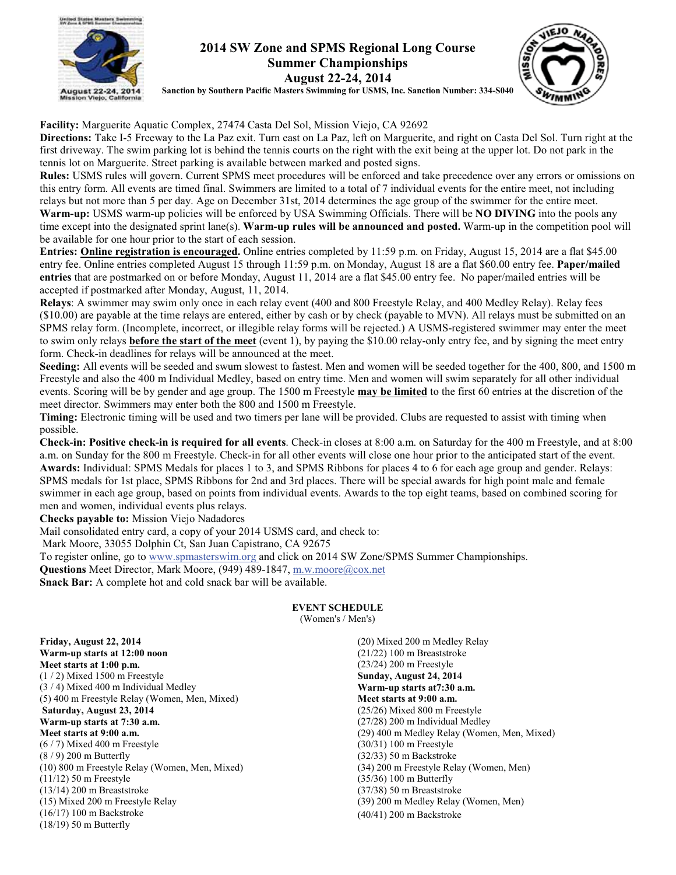

### **2014 SW Zone and SPMS Regional Long Course Summer Championships August 22-24, 2014**



**Sanction by Southern Pacific Masters Swimming for USMS, Inc. Sanction Number: 334-S040**

**Facility:** Marguerite Aquatic Complex, 27474 Casta Del Sol, Mission Viejo, CA 92692

**Directions:** Take I-5 Freeway to the La Paz exit. Turn east on La Paz, left on Marguerite, and right on Casta Del Sol. Turn right at the first driveway. The swim parking lot is behind the tennis courts on the right with the exit being at the upper lot. Do not park in the tennis lot on Marguerite. Street parking is available between marked and posted signs.

**Rules:** USMS rules will govern. Current SPMS meet procedures will be enforced and take precedence over any errors or omissions on this entry form. All events are timed final. Swimmers are limited to a total of 7 individual events for the entire meet, not including relays but not more than 5 per day. Age on December 31st, 2014 determines the age group of the swimmer for the entire meet. **Warm-up:** USMS warm-up policies will be enforced by USA Swimming Officials. There will be **NO DIVING** into the pools any time except into the designated sprint lane(s). **Warm-up rules will be announced and posted.** Warm-up in the competition pool will be available for one hour prior to the start of each session.

**Entries: Online registration is encouraged.** Online entries completed by 11:59 p.m. on Friday, August 15, 2014 are a flat \$45.00 entry fee. Online entries completed August 15 through 11:59 p.m. on Monday, August 18 are a flat \$60.00 entry fee. **Paper/mailed entries** that are postmarked on or before Monday, August 11, 2014 are a flat \$45.00 entry fee. No paper/mailed entries will be accepted if postmarked after Monday, August, 11, 2014.

**Relays**: A swimmer may swim only once in each relay event (400 and 800 Freestyle Relay, and 400 Medley Relay). Relay fees (\$10.00) are payable at the time relays are entered, either by cash or by check (payable to MVN). All relays must be submitted on an SPMS relay form. (Incomplete, incorrect, or illegible relay forms will be rejected.) A USMS-registered swimmer may enter the meet to swim only relays **before the start of the meet** (event 1), by paying the \$10.00 relay-only entry fee, and by signing the meet entry form. Check-in deadlines for relays will be announced at the meet.

**Seeding:** All events will be seeded and swum slowest to fastest. Men and women will be seeded together for the 400, 800, and 1500 m Freestyle and also the 400 m Individual Medley, based on entry time. Men and women will swim separately for all other individual events. Scoring will be by gender and age group. The 1500 m Freestyle **may be limited** to the first 60 entries at the discretion of the meet director. Swimmers may enter both the 800 and 1500 m Freestyle.

**Timing:** Electronic timing will be used and two timers per lane will be provided. Clubs are requested to assist with timing when possible.

**Check-in: Positive check-in is required for all events**. Check-in closes at 8:00 a.m. on Saturday for the 400 m Freestyle, and at 8:00 a.m. on Sunday for the 800 m Freestyle. Check-in for all other events will close one hour prior to the anticipated start of the event. **Awards:** Individual: SPMS Medals for places 1 to 3, and SPMS Ribbons for places 4 to 6 for each age group and gender. Relays: SPMS medals for 1st place, SPMS Ribbons for 2nd and 3rd places. There will be special awards for high point male and female swimmer in each age group, based on points from individual events. Awards to the top eight teams, based on combined scoring for men and women, individual events plus relays.

**Checks payable to:** Mission Viejo Nadadores

Mail consolidated entry card, a copy of your 2014 USMS card, and check to: Mark Moore, 33055 Dolphin Ct, San Juan Capistrano, CA 92675

To register online, go to www.spmasterswim.org and click on 2014 SW Zone/SPMS Summer Championships.

**Questions** Meet Director, Mark Moore, (949) 489-1847, m.w.moore@cox.net

**Snack Bar:** A complete hot and cold snack bar will be available.

**EVENT SCHEDULE**

(Women's / Men's)

**Friday, August 22, 2014 Warm-up starts at 12:00 noon Meet starts at 1:00 p.m.** (1 / 2) Mixed 1500 m Freestyle (3 / 4) Mixed 400 m Individual Medley (5) 400 m Freestyle Relay (Women, Men, Mixed) **Saturday, August 23, 2014 Warm-up starts at 7:30 a.m. Meet starts at 9:00 a.m.**  $(6/7)$  Mixed 400 m Freestyle (8 / 9) 200 m Butterfly (10) 800 m Freestyle Relay (Women, Men, Mixed) (11/12) 50 m Freestyle (13/14) 200 m Breaststroke (15) Mixed 200 m Freestyle Relay (16/17) 100 m Backstroke (18/19) 50 m Butterfly

(20) Mixed 200 m Medley Relay (21/22) 100 m Breaststroke (23/24) 200 m Freestyle **Sunday, August 24, 2014 Warm-up starts at7:30 a.m. Meet starts at 9:00 a.m.** (25/26) Mixed 800 m Freestyle (27/28) 200 m Individual Medley (29) 400 m Medley Relay (Women, Men, Mixed) (30/31) 100 m Freestyle (32/33) 50 m Backstroke (34) 200 m Freestyle Relay (Women, Men) (35/36) 100 m Butterfly (37/38) 50 m Breaststroke (39) 200 m Medley Relay (Women, Men) (40/41) 200 m Backstroke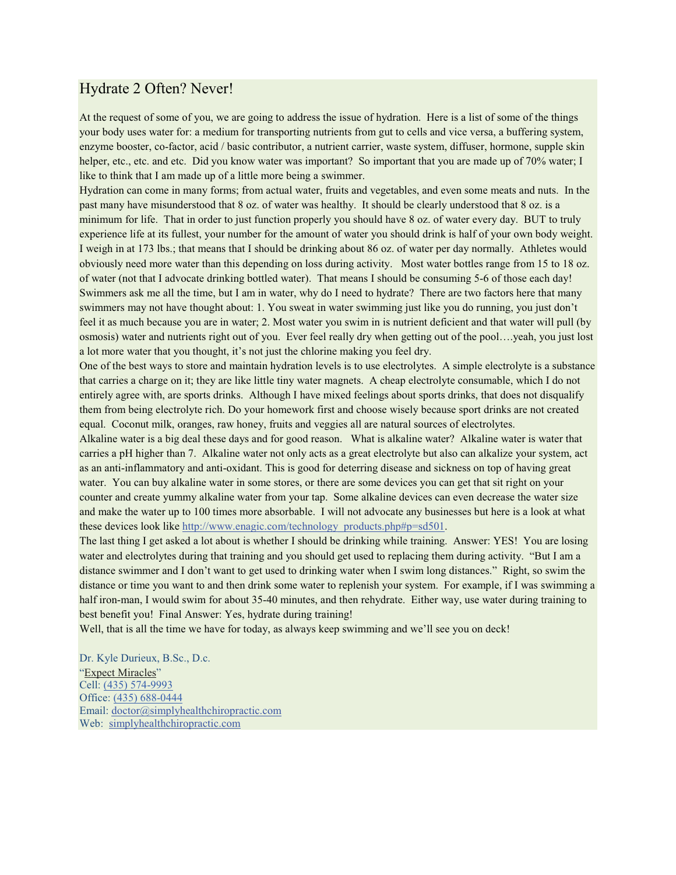## Hydrate 2 Often? Never!

At the request of some of you, we are going to address the issue of hydration. Here is a list of some of the things your body uses water for: a medium for transporting nutrients from gut to cells and vice versa, a buffering system, enzyme booster, co-factor, acid / basic contributor, a nutrient carrier, waste system, diffuser, hormone, supple skin helper, etc., etc. and etc. Did you know water was important? So important that you are made up of 70% water; I like to think that I am made up of a little more being a swimmer.

Hydration can come in many forms; from actual water, fruits and vegetables, and even some meats and nuts. In the past many have misunderstood that 8 oz. of water was healthy. It should be clearly understood that 8 oz. is a minimum for life. That in order to just function properly you should have 8 oz. of water every day. BUT to truly experience life at its fullest, your number for the amount of water you should drink is half of your own body weight. I weigh in at 173 lbs.; that means that I should be drinking about 86 oz. of water per day normally. Athletes would obviously need more water than this depending on loss during activity. Most water bottles range from 15 to 18 oz. of water (not that I advocate drinking bottled water). That means I should be consuming 5-6 of those each day! Swimmers ask me all the time, but I am in water, why do I need to hydrate? There are two factors here that many swimmers may not have thought about: 1. You sweat in water swimming just like you do running, you just don't feel it as much because you are in water; 2. Most water you swim in is nutrient deficient and that water will pull (by osmosis) water and nutrients right out of you. Ever feel really dry when getting out of the pool….yeah, you just lost a lot more water that you thought, it's not just the chlorine making you feel dry.

One of the best ways to store and maintain hydration levels is to use electrolytes. A simple electrolyte is a substance that carries a charge on it; they are like little tiny water magnets. A cheap electrolyte consumable, which I do not entirely agree with, are sports drinks. Although I have mixed feelings about sports drinks, that does not disqualify them from being electrolyte rich. Do your homework first and choose wisely because sport drinks are not created equal. Coconut milk, oranges, raw honey, fruits and veggies all are natural sources of electrolytes.

Alkaline water is a big deal these days and for good reason. What is alkaline water? Alkaline water is water that carries a pH higher than 7. Alkaline water not only acts as a great electrolyte but also can alkalize your system, act as an anti-inflammatory and anti-oxidant. This is good for deterring disease and sickness on top of having great water. You can buy alkaline water in some stores, or there are some devices you can get that sit right on your counter and create yummy alkaline water from your tap. Some alkaline devices can even decrease the water size and make the water up to 100 times more absorbable. I will not advocate any businesses but here is a look at what these devices look like http://www.enagic.com/technology\_products.php#p=sd501.

The last thing I get asked a lot about is whether I should be drinking while training. Answer: YES! You are losing water and electrolytes during that training and you should get used to replacing them during activity. "But I am a distance swimmer and I don't want to get used to drinking water when I swim long distances." Right, so swim the distance or time you want to and then drink some water to replenish your system. For example, if I was swimming a half iron-man, I would swim for about 35-40 minutes, and then rehydrate. Either way, use water during training to best benefit you! Final Answer: Yes, hydrate during training!

Well, that is all the time we have for today, as always keep swimming and we'll see you on deck!

Dr. Kyle Durieux, B.Sc., D.c. "Expect Miracles" Cell: (435) 574-9993 Office: (435) 688-0444 Email: doctor@simplyhealthchiropractic.com Web: simplyhealthchiropractic.com